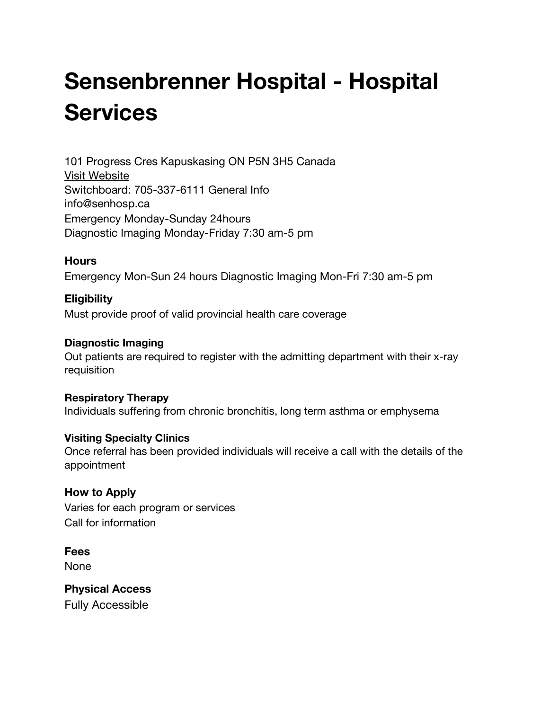# **Sensenbrenner Hospital - Hospital Services**

101 Progress Cres [Kapuskasing](http://google.ca/maps?q=49.4256100,-82.4275810) ON P5N 3H5 Canada Visit [Website](http://www.senhosp.ca/) Switchboard: 705-337-6111 General Info [info@senhosp.ca](mailto:info@senhosp.ca) Emergency Monday-Sunday 24hours Diagnostic Imaging Monday-Friday 7:30 am-5 pm

#### **Hours**

Emergency Mon-Sun 24 hours Diagnostic Imaging Mon-Fri 7:30 am-5 pm

## **Eligibility** Must provide proof of valid provincial health care coverage

#### **Diagnostic Imaging**

Out patients are required to register with the admitting department with their x-ray requisition

**Respiratory Therapy** Individuals suffering from chronic bronchitis, long term asthma or emphysema

#### **Visiting Specialty Clinics**

Once referral has been provided individuals will receive a call with the details of the appointment

**How to Apply** Varies for each program or services Call for information

**Fees** None

**Physical Access** Fully Accessible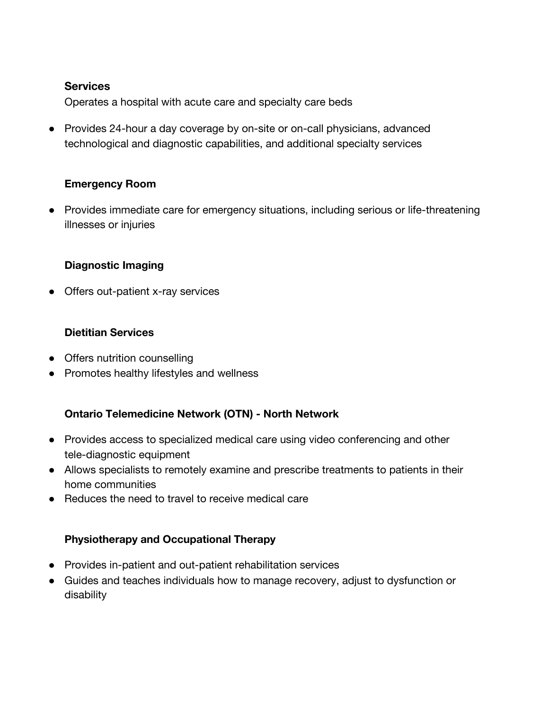#### **Services**

Operates a hospital with acute care and specialty care beds

● Provides 24-hour a day coverage by on-site or on-call physicians, advanced technological and diagnostic capabilities, and additional specialty services

## **Emergency Room**

● Provides immediate care for emergency situations, including serious or life-threatening illnesses or injuries

## **Diagnostic Imaging**

● Offers out-patient x-ray services

## **Dietitian Services**

- Offers nutrition counselling
- Promotes healthy lifestyles and wellness

## **Ontario Telemedicine Network (OTN) - North Network**

- Provides access to specialized medical care using video conferencing and other tele-diagnostic equipment
- Allows specialists to remotely examine and prescribe treatments to patients in their home communities
- Reduces the need to travel to receive medical care

## **Physiotherapy and Occupational Therapy**

- Provides in-patient and out-patient rehabilitation services
- Guides and teaches individuals how to manage recovery, adjust to dysfunction or disability